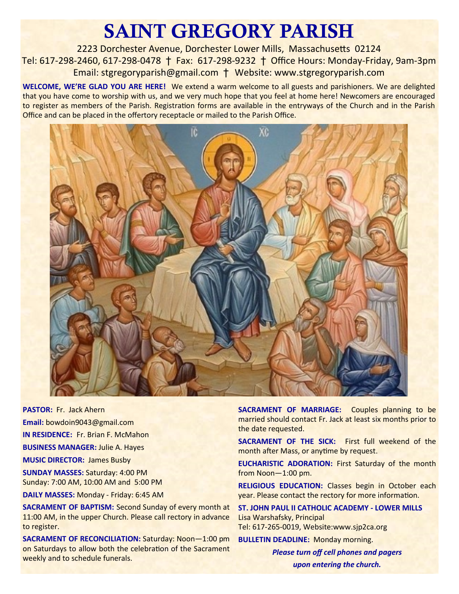# SAINT GREGORY PARISH

2223 Dorchester Avenue, Dorchester Lower Mills, Massachusetts 02124 Tel: 617-298-2460, 617-298-0478 † Fax: 617-298-9232 † Office Hours: Monday-Friday, 9am-3pm Email: stgregoryparish@gmail.com † Website: www.stgregoryparish.com

**WELCOME, WE'RE GLAD YOU ARE HERE!** We extend a warm welcome to all guests and parishioners. We are delighted that you have come to worship with us, and we very much hope that you feel at home here! Newcomers are encouraged to register as members of the Parish. Registration forms are available in the entryways of the Church and in the Parish Office and can be placed in the offertory receptacle or mailed to the Parish Office.



**PASTOR:** Fr. Jack Ahern **Email:** bowdoin9043@gmail.com **IN RESIDENCE:** Fr. Brian F. McMahon **BUSINESS MANAGER:** Julie A. Hayes

**MUSIC DIRECTOR:** James Busby

**SUNDAY MASSES:** Saturday: 4:00 PM Sunday: 7:00 AM, 10:00 AM and 5:00 PM

**DAILY MASSES:** Monday - Friday: 6:45 AM

**SACRAMENT OF BAPTISM: Second Sunday of every month at** 11:00 AM, in the upper Church. Please call rectory in advance to register.

**SACRAMENT OF RECONCILIATION:** Saturday: Noon—1:00 pm on Saturdays to allow both the celebration of the Sacrament weekly and to schedule funerals.

**SACRAMENT OF MARRIAGE:** Couples planning to be married should contact Fr. Jack at least six months prior to the date requested.

**SACRAMENT OF THE SICK:** First full weekend of the month after Mass, or anytime by request.

**EUCHARISTIC ADORATION:** First Saturday of the month from Noon—1:00 pm.

**RELIGIOUS EDUCATION:** Classes begin in October each year. Please contact the rectory for more information.

**ST. JOHN PAUL II CATHOLIC ACADEMY - LOWER MILLS** Lisa Warshafsky, Principal Tel: 617-265-0019, Website:www.sjp2ca.org

**BULLETIN DEADLINE:** Monday morning.

*Please turn off cell phones and pagers upon entering the church.*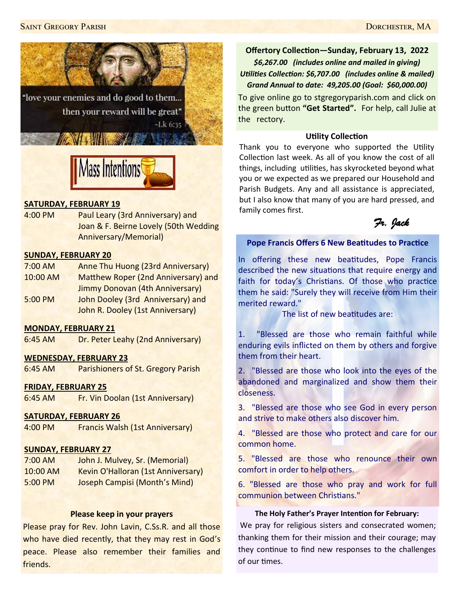



## **SATURDAY, FEBRUARY 19**

4:00 PM Paul Leary (3rd Anniversary) and Joan & F. Beirne Lovely (50th Wedding Anniversary/Memorial)

## **SUNDAY, FEBRUARY 20**

- 7:00 AM Anne Thu Huong (23rd Anniversary) 10:00 AM Matthew Roper (2nd Anniversary) and Jimmy Donovan (4th Anniversary) 5:00 PM John Dooley (3rd Anniversary) and
	- John R. Dooley (1st Anniversary)

## **MONDAY, FEBRUARY 21**

6:45 AM Dr. Peter Leahy (2nd Anniversary)

## **WEDNESDAY, FEBRUARY 23**

6:45 AM Parishioners of St. Gregory Parish

#### **FRIDAY, FEBRUARY 25**

6:45 AM Fr. Vin Doolan (1st Anniversary)

## **SATURDAY, FEBRUARY 26**

4:00 PM Francis Walsh (1st Anniversary)

## **SUNDAY, FEBRUARY 27**

7:00 AM John J. Mulvey, Sr. (Memorial) 10:00 AM Kevin O'Halloran (1st Anniversary) 5:00 PM Joseph Campisi (Month's Mind)

#### **Please keep in your prayers**

Please pray for Rev. John Lavin, C.Ss.R. and all those who have died recently, that they may rest in God's peace. Please also remember their families and friends.

**Offertory Collection—Sunday, February 13, 2022** *\$6,267.00 (includes online and mailed in giving) Utilities Collection: \$6,707.00 (includes online & mailed) Grand Annual to date: 49,205.00 (Goal: \$60,000.00)*

To give online go to stgregoryparish.com and click on the green button **"Get Started".** For help, call Julie at the rectory.

## **Utility Collection**

Thank you to everyone who supported the Utility Collection last week. As all of you know the cost of all things, including utilities, has skyrocketed beyond what you or we expected as we prepared our Household and Parish Budgets. Any and all assistance is appreciated, but I also know that many of you are hard pressed, and family comes first.



## **Pope Francis Offers 6 New Beatitudes to Practice**

In offering these new beatitudes, Pope Francis described the new situations that require energy and faith for today's Christians. Of those who practice them he said: "Surely they will receive from Him their merited reward."

The list of new beatitudes are:

1. "Blessed are those who remain faithful while enduring evils inflicted on them by others and forgive them from their heart.

2. "Blessed are those who look into the eyes of the abandoned and marginalized and show them their closeness.

3. "Blessed are those who see God in every person and strive to make others also discover him.

4. "Blessed are those who protect and care for our common home.

5. "Blessed are those who renounce their own comfort in order to help others.

6. "Blessed are those who pray and work for full communion between Christians."

#### **The Holy Father's Prayer Intention for February:**

We pray for religious sisters and consecrated women; thanking them for their mission and their courage; may they continue to find new responses to the challenges of our times.